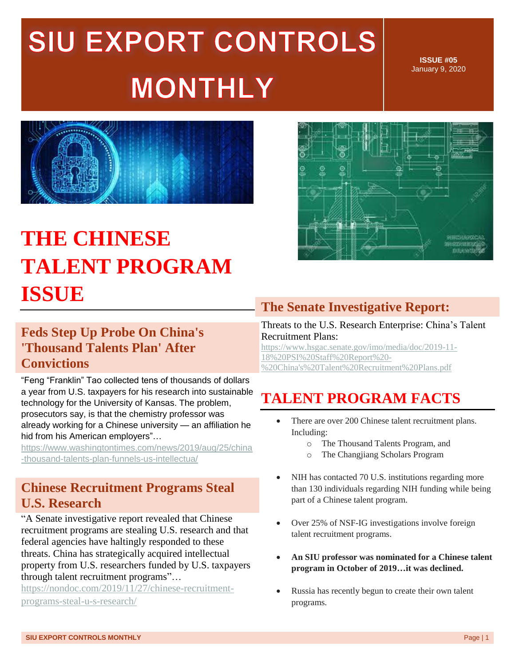# SIU EXPORT CONTROLS **MONTHLY**

**ISSUE #05** January 9, 2020



### **THE CHINESE TALENT PROGRAM ISSUE**



### **Feds Step Up Probe On China's 'Thousand Talents Plan' After Convictions**

"Feng "Franklin" Tao collected tens of thousands of dollars a year from U.S. taxpayers for his research into sustainable technology for the University of Kansas. The problem, prosecutors say, is that the chemistry professor was already working for a Chinese university — an affiliation he hid from his American employers"…

[https://www.washingtontimes.com/news/2019/aug/25/china](https://www.washingtontimes.com/news/2019/aug/25/china-thousand-talents-plan-funnels-us-intellectua/) [-thousand-talents-plan-funnels-us-intellectua/](https://www.washingtontimes.com/news/2019/aug/25/china-thousand-talents-plan-funnels-us-intellectua/)

### **Chinese Recruitment Programs Steal U.S. Research**

"A Senate investigative report revealed that Chinese recruitment programs are stealing U.S. research and that federal agencies have haltingly responded to these threats. China has strategically acquired intellectual property from U.S. researchers funded by U.S. taxpayers through talent recruitment programs"…

[https://nondoc.com/2019/11/27/chinese-recruitment](https://nondoc.com/2019/11/27/chinese-recruitment-programs-steal-u-s-research/)[programs-steal-u-s-research/](https://nondoc.com/2019/11/27/chinese-recruitment-programs-steal-u-s-research/)

### **The Senate Investigative Report:**

Threats to the U.S. Research Enterprise: China's Talent Recruitment Plans:

[https://www.hsgac.senate.gov/imo/media/doc/2019-11-](https://www.hsgac.senate.gov/imo/media/doc/2019-11-18%20PSI%20Staff%20Report%20-%20China) [18%20PSI%20Staff%20Report%20-](https://www.hsgac.senate.gov/imo/media/doc/2019-11-18%20PSI%20Staff%20Report%20-%20China) [%20China's%20Talent%20Recruitment%20Plans.pdf](https://www.hsgac.senate.gov/imo/media/doc/2019-11-18%20PSI%20Staff%20Report%20-%20China)

### **TALENT PROGRAM FACTS**

- There are over 200 Chinese talent recruitment plans. Including:
	- o The Thousand Talents Program, and
	- o The Changjiang Scholars Program
- NIH has contacted 70 U.S. institutions regarding more than 130 individuals regarding NIH funding while being part of a Chinese talent program.
- Over 25% of NSF-IG investigations involve foreign talent recruitment programs.
- **An SIU professor was nominated for a Chinese talent program in October of 2019…it was declined.**
- Russia has recently begun to create their own talent programs.